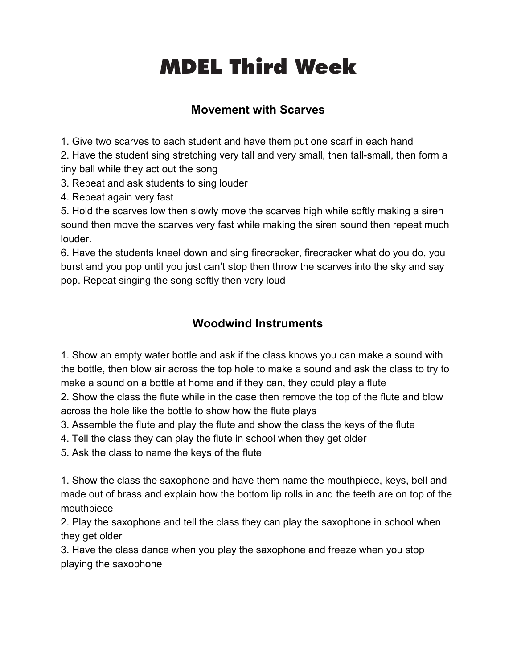# **Third Head Start Week** MDEL Third Week

## **Movement with Scarves**

1. Give two scarves to each student and have them put one scarf in each hand

2. Have the student sing stretching very tall and very small, then tall-small, then form a tiny ball while they act out the song

3. Repeat and ask students to sing louder

4. Repeat again very fast

5. Hold the scarves low then slowly move the scarves high while softly making a siren sound then move the scarves very fast while making the siren sound then repeat much louder.

6. Have the students kneel down and sing firecracker, firecracker what do you do, you burst and you pop until you just can't stop then throw the scarves into the sky and say pop. Repeat singing the song softly then very loud

# **Woodwind Instruments**

1. Show an empty water bottle and ask if the class knows you can make a sound with the bottle, then blow air across the top hole to make a sound and ask the class to try to make a sound on a bottle at home and if they can, they could play a flute

2. Show the class the flute while in the case then remove the top of the flute and blow across the hole like the bottle to show how the flute plays

3. Assemble the flute and play the flute and show the class the keys of the flute

4. Tell the class they can play the flute in school when they get older

5. Ask the class to name the keys of the flute

1. Show the class the saxophone and have them name the mouthpiece, keys, bell and made out of brass and explain how the bottom lip rolls in and the teeth are on top of the mouthpiece

2. Play the saxophone and tell the class they can play the saxophone in school when they get older

3. Have the class dance when you play the saxophone and freeze when you stop playing the saxophone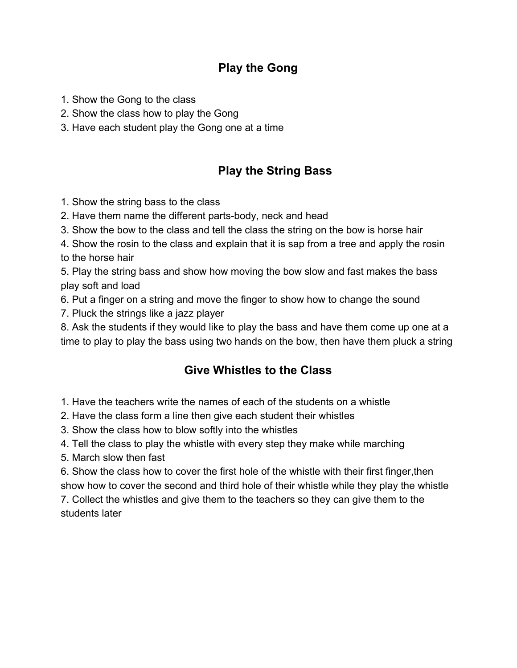#### **Play the Gong**

- 1. Show the Gong to the class
- 2. Show the class how to play the Gong
- 3. Have each student play the Gong one at a time

### **Play the String Bass**

- 1. Show the string bass to the class
- 2. Have them name the different parts-body, neck and head
- 3. Show the bow to the class and tell the class the string on the bow is horse hair

4. Show the rosin to the class and explain that it is sap from a tree and apply the rosin to the horse hair

5. Play the string bass and show how moving the bow slow and fast makes the bass play soft and load

6. Put a finger on a string and move the finger to show how to change the sound

7. Pluck the strings like a jazz player

8. Ask the students if they would like to play the bass and have them come up one at a time to play to play the bass using two hands on the bow, then have them pluck a string

#### **Give Whistles to the Class**

- 1. Have the teachers write the names of each of the students on a whistle
- 2. Have the class form a line then give each student their whistles
- 3. Show the class how to blow softly into the whistles
- 4. Tell the class to play the whistle with every step they make while marching
- 5. March slow then fast

6. Show the class how to cover the first hole of the whistle with their first finger,then show how to cover the second and third hole of their whistle while they play the whistle

7. Collect the whistles and give them to the teachers so they can give them to the students later